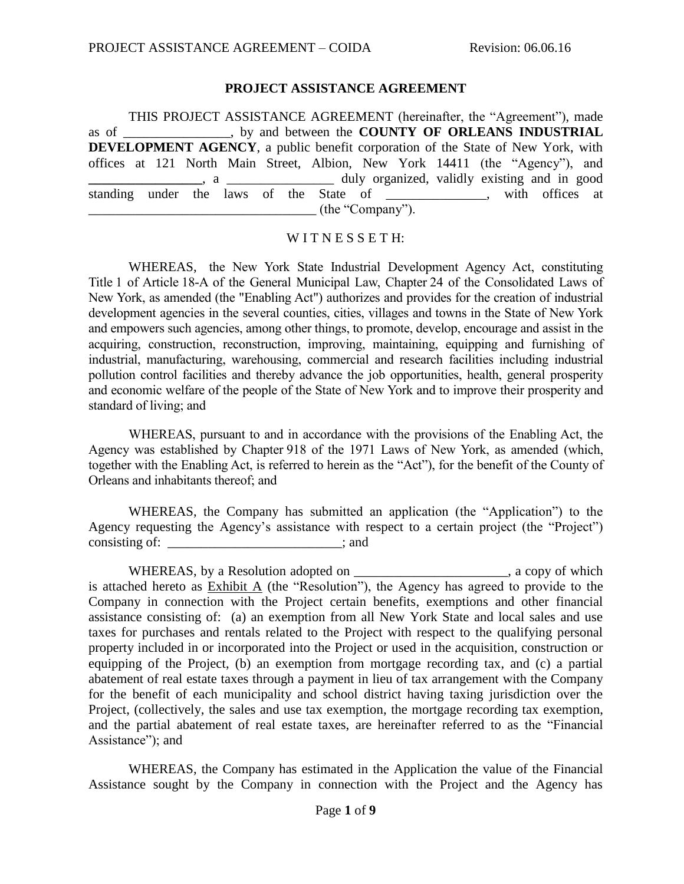#### **PROJECT ASSISTANCE AGREEMENT**

THIS PROJECT ASSISTANCE AGREEMENT (hereinafter, the "Agreement"), made as of \_\_\_\_\_\_\_\_\_\_\_\_\_\_\_\_, by and between the **COUNTY OF ORLEANS INDUSTRIAL DEVELOPMENT AGENCY**, a public benefit corporation of the State of New York, with offices at 121 North Main Street, Albion, New York 14411 (the "Agency"), and **a**, a \_\_\_\_\_\_\_\_\_\_\_\_\_\_\_\_\_\_\_\_\_\_\_\_\_ duly organized, validly existing and in good standing under the laws of the State of \_\_\_\_\_\_\_\_\_\_\_, with offices at  $\qquad \qquad$  (the "Company").

#### WITNESSETH:

WHEREAS, the New York State Industrial Development Agency Act, constituting Title 1 of Article 18-A of the General Municipal Law, Chapter 24 of the Consolidated Laws of New York, as amended (the "Enabling Act") authorizes and provides for the creation of industrial development agencies in the several counties, cities, villages and towns in the State of New York and empowers such agencies, among other things, to promote, develop, encourage and assist in the acquiring, construction, reconstruction, improving, maintaining, equipping and furnishing of industrial, manufacturing, warehousing, commercial and research facilities including industrial pollution control facilities and thereby advance the job opportunities, health, general prosperity and economic welfare of the people of the State of New York and to improve their prosperity and standard of living; and

WHEREAS, pursuant to and in accordance with the provisions of the Enabling Act, the Agency was established by Chapter 918 of the 1971 Laws of New York, as amended (which, together with the Enabling Act, is referred to herein as the "Act"), for the benefit of the County of Orleans and inhabitants thereof; and

WHEREAS, the Company has submitted an application (the "Application") to the Agency requesting the Agency's assistance with respect to a certain project (the "Project") consisting of: \_\_\_\_\_\_\_\_\_\_\_\_\_\_\_\_\_\_\_\_\_\_\_\_; and

WHEREAS, by a Resolution adopted on \_\_\_\_\_\_\_\_\_\_\_\_\_\_\_\_\_\_\_\_\_\_, a copy of which is attached hereto as Exhibit A (the "Resolution"), the Agency has agreed to provide to the Company in connection with the Project certain benefits, exemptions and other financial assistance consisting of: (a) an exemption from all New York State and local sales and use taxes for purchases and rentals related to the Project with respect to the qualifying personal property included in or incorporated into the Project or used in the acquisition, construction or equipping of the Project, (b) an exemption from mortgage recording tax, and (c) a partial abatement of real estate taxes through a payment in lieu of tax arrangement with the Company for the benefit of each municipality and school district having taxing jurisdiction over the Project, (collectively, the sales and use tax exemption, the mortgage recording tax exemption, and the partial abatement of real estate taxes, are hereinafter referred to as the "Financial Assistance"); and

WHEREAS, the Company has estimated in the Application the value of the Financial Assistance sought by the Company in connection with the Project and the Agency has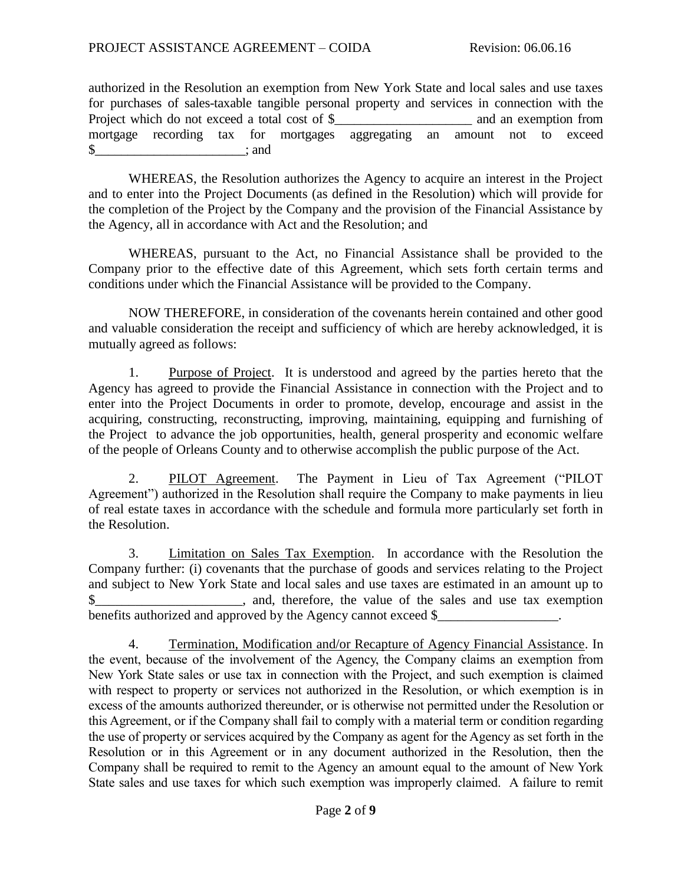authorized in the Resolution an exemption from New York State and local sales and use taxes for purchases of sales-taxable tangible personal property and services in connection with the Project which do not exceed a total cost of \$ and an exemption from mortgage recording tax for mortgages aggregating an amount not to exceed  $\text{\$}$  : and

WHEREAS, the Resolution authorizes the Agency to acquire an interest in the Project and to enter into the Project Documents (as defined in the Resolution) which will provide for the completion of the Project by the Company and the provision of the Financial Assistance by the Agency, all in accordance with Act and the Resolution; and

WHEREAS, pursuant to the Act, no Financial Assistance shall be provided to the Company prior to the effective date of this Agreement, which sets forth certain terms and conditions under which the Financial Assistance will be provided to the Company.

NOW THEREFORE, in consideration of the covenants herein contained and other good and valuable consideration the receipt and sufficiency of which are hereby acknowledged, it is mutually agreed as follows:

1. Purpose of Project. It is understood and agreed by the parties hereto that the Agency has agreed to provide the Financial Assistance in connection with the Project and to enter into the Project Documents in order to promote, develop, encourage and assist in the acquiring, constructing, reconstructing, improving, maintaining, equipping and furnishing of the Project to advance the job opportunities, health, general prosperity and economic welfare of the people of Orleans County and to otherwise accomplish the public purpose of the Act.

2. PILOT Agreement. The Payment in Lieu of Tax Agreement ("PILOT Agreement") authorized in the Resolution shall require the Company to make payments in lieu of real estate taxes in accordance with the schedule and formula more particularly set forth in the Resolution.

3. Limitation on Sales Tax Exemption. In accordance with the Resolution the Company further: (i) covenants that the purchase of goods and services relating to the Project and subject to New York State and local sales and use taxes are estimated in an amount up to \$ benefits authorized and approved by the Agency cannot exceed \$

4. Termination, Modification and/or Recapture of Agency Financial Assistance. In the event, because of the involvement of the Agency, the Company claims an exemption from New York State sales or use tax in connection with the Project, and such exemption is claimed with respect to property or services not authorized in the Resolution, or which exemption is in excess of the amounts authorized thereunder, or is otherwise not permitted under the Resolution or this Agreement, or if the Company shall fail to comply with a material term or condition regarding the use of property or services acquired by the Company as agent for the Agency as set forth in the Resolution or in this Agreement or in any document authorized in the Resolution, then the Company shall be required to remit to the Agency an amount equal to the amount of New York State sales and use taxes for which such exemption was improperly claimed. A failure to remit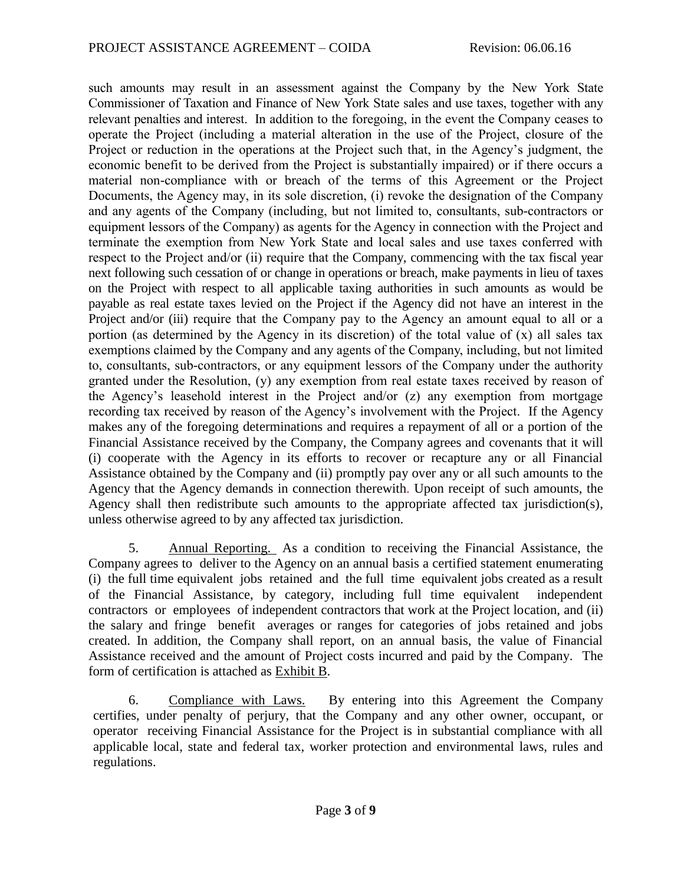such amounts may result in an assessment against the Company by the New York State Commissioner of Taxation and Finance of New York State sales and use taxes, together with any relevant penalties and interest. In addition to the foregoing, in the event the Company ceases to operate the Project (including a material alteration in the use of the Project, closure of the Project or reduction in the operations at the Project such that, in the Agency's judgment, the economic benefit to be derived from the Project is substantially impaired) or if there occurs a material non-compliance with or breach of the terms of this Agreement or the Project Documents, the Agency may, in its sole discretion, (i) revoke the designation of the Company and any agents of the Company (including, but not limited to, consultants, sub-contractors or equipment lessors of the Company) as agents for the Agency in connection with the Project and terminate the exemption from New York State and local sales and use taxes conferred with respect to the Project and/or (ii) require that the Company, commencing with the tax fiscal year next following such cessation of or change in operations or breach, make payments in lieu of taxes on the Project with respect to all applicable taxing authorities in such amounts as would be payable as real estate taxes levied on the Project if the Agency did not have an interest in the Project and/or (iii) require that the Company pay to the Agency an amount equal to all or a portion (as determined by the Agency in its discretion) of the total value of  $(x)$  all sales tax exemptions claimed by the Company and any agents of the Company, including, but not limited to, consultants, sub-contractors, or any equipment lessors of the Company under the authority granted under the Resolution, (y) any exemption from real estate taxes received by reason of the Agency's leasehold interest in the Project and/or (z) any exemption from mortgage recording tax received by reason of the Agency's involvement with the Project. If the Agency makes any of the foregoing determinations and requires a repayment of all or a portion of the Financial Assistance received by the Company, the Company agrees and covenants that it will (i) cooperate with the Agency in its efforts to recover or recapture any or all Financial Assistance obtained by the Company and (ii) promptly pay over any or all such amounts to the Agency that the Agency demands in connection therewith. Upon receipt of such amounts, the Agency shall then redistribute such amounts to the appropriate affected tax jurisdiction(s), unless otherwise agreed to by any affected tax jurisdiction.

5. Annual Reporting. As a condition to receiving the Financial Assistance, the Company agrees to deliver to the Agency on an annual basis a certified statement enumerating (i) the full time equivalent jobs retained and the full time equivalent jobs created as a result of the Financial Assistance, by category, including full time equivalent independent contractors or employees of independent contractors that work at the Project location, and (ii) the salary and fringe benefit averages or ranges for categories of jobs retained and jobs created. In addition, the Company shall report, on an annual basis, the value of Financial Assistance received and the amount of Project costs incurred and paid by the Company. The form of certification is attached as Exhibit B.

6. Compliance with Laws. By entering into this Agreement the Company certifies, under penalty of perjury, that the Company and any other owner, occupant, or operator receiving Financial Assistance for the Project is in substantial compliance with all applicable local, state and federal tax, worker protection and environmental laws, rules and regulations.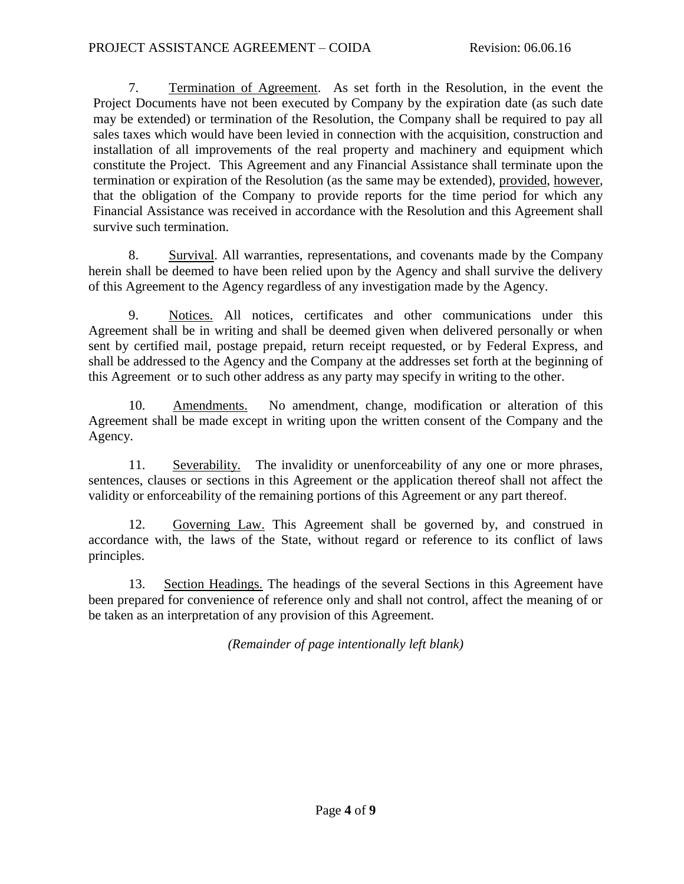7. Termination of Agreement. As set forth in the Resolution, in the event the Project Documents have not been executed by Company by the expiration date (as such date may be extended) or termination of the Resolution, the Company shall be required to pay all sales taxes which would have been levied in connection with the acquisition, construction and installation of all improvements of the real property and machinery and equipment which constitute the Project. This Agreement and any Financial Assistance shall terminate upon the termination or expiration of the Resolution (as the same may be extended), provided, however, that the obligation of the Company to provide reports for the time period for which any Financial Assistance was received in accordance with the Resolution and this Agreement shall survive such termination.

8. Survival. All warranties, representations, and covenants made by the Company herein shall be deemed to have been relied upon by the Agency and shall survive the delivery of this Agreement to the Agency regardless of any investigation made by the Agency.

9. Notices. All notices, certificates and other communications under this Agreement shall be in writing and shall be deemed given when delivered personally or when sent by certified mail, postage prepaid, return receipt requested, or by Federal Express, and shall be addressed to the Agency and the Company at the addresses set forth at the beginning of this Agreement or to such other address as any party may specify in writing to the other.

10. Amendments. No amendment, change, modification or alteration of this Agreement shall be made except in writing upon the written consent of the Company and the Agency.

11. Severability. The invalidity or unenforceability of any one or more phrases, sentences, clauses or sections in this Agreement or the application thereof shall not affect the validity or enforceability of the remaining portions of this Agreement or any part thereof.

12. Governing Law. This Agreement shall be governed by, and construed in accordance with, the laws of the State, without regard or reference to its conflict of laws principles.

13. Section Headings. The headings of the several Sections in this Agreement have been prepared for convenience of reference only and shall not control, affect the meaning of or be taken as an interpretation of any provision of this Agreement.

*(Remainder of page intentionally left blank)*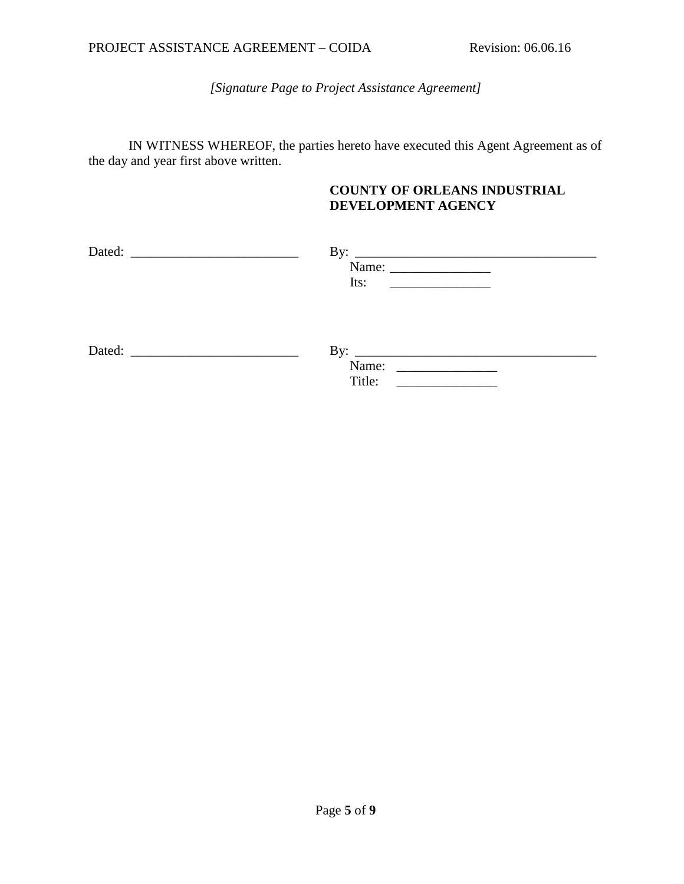*[Signature Page to Project Assistance Agreement]*

IN WITNESS WHEREOF, the parties hereto have executed this Agent Agreement as of the day and year first above written.

## **COUNTY OF ORLEANS INDUSTRIAL DEVELOPMENT AGENCY**

|                                                                                                                                                                                                                                | By: $\qquad \qquad$                                                                                                          |  |
|--------------------------------------------------------------------------------------------------------------------------------------------------------------------------------------------------------------------------------|------------------------------------------------------------------------------------------------------------------------------|--|
|                                                                                                                                                                                                                                |                                                                                                                              |  |
|                                                                                                                                                                                                                                | Its:                                                                                                                         |  |
|                                                                                                                                                                                                                                |                                                                                                                              |  |
|                                                                                                                                                                                                                                |                                                                                                                              |  |
|                                                                                                                                                                                                                                |                                                                                                                              |  |
| Dated: the contract of the contract of the contract of the contract of the contract of the contract of the contract of the contract of the contract of the contract of the contract of the contract of the contract of the con | By: $\qquad \qquad$                                                                                                          |  |
|                                                                                                                                                                                                                                | Name:<br><u> 1980 - Jan Barat, prima populație de la proprietat de la proprietat de la proprietat de la proprietat de la</u> |  |
|                                                                                                                                                                                                                                | Title:                                                                                                                       |  |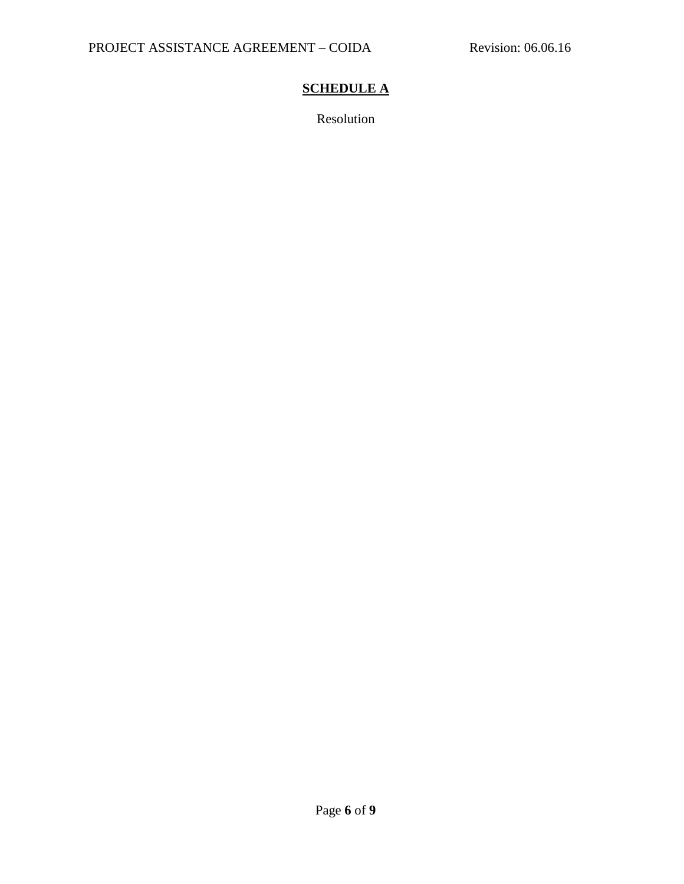# **SCHEDULE A**

Resolution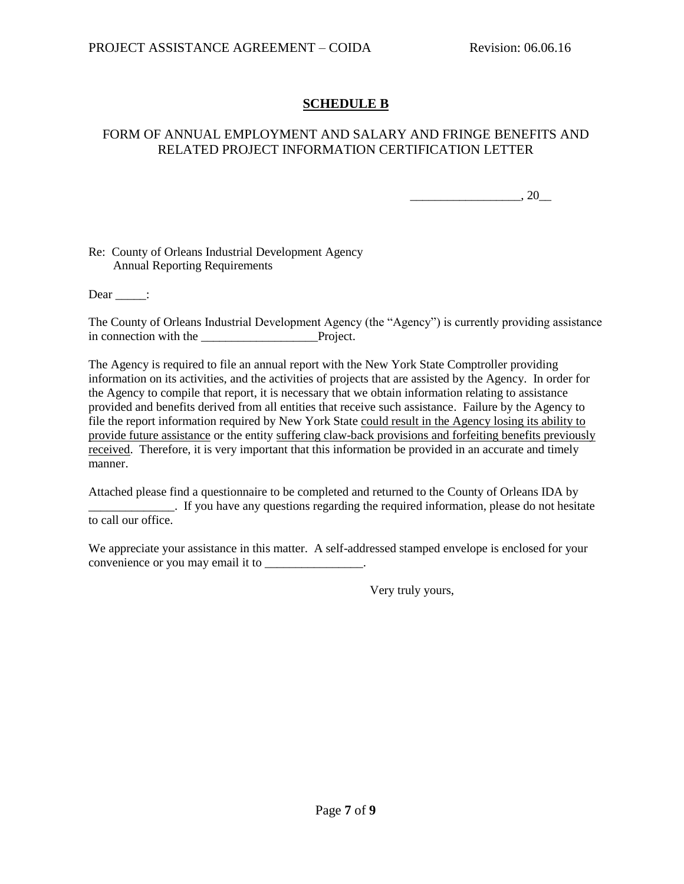# **SCHEDULE B**

### FORM OF ANNUAL EMPLOYMENT AND SALARY AND FRINGE BENEFITS AND RELATED PROJECT INFORMATION CERTIFICATION LETTER

 $\frac{1}{20}$ , 20

Re: County of Orleans Industrial Development Agency Annual Reporting Requirements

Dear :

The County of Orleans Industrial Development Agency (the "Agency") is currently providing assistance in connection with the Project.

The Agency is required to file an annual report with the New York State Comptroller providing information on its activities, and the activities of projects that are assisted by the Agency. In order for the Agency to compile that report, it is necessary that we obtain information relating to assistance provided and benefits derived from all entities that receive such assistance. Failure by the Agency to file the report information required by New York State could result in the Agency losing its ability to provide future assistance or the entity suffering claw-back provisions and forfeiting benefits previously received. Therefore, it is very important that this information be provided in an accurate and timely manner.

Attached please find a questionnaire to be completed and returned to the County of Orleans IDA by \_\_\_\_\_\_\_\_\_\_\_\_\_\_. If you have any questions regarding the required information, please do not hesitate to call our office.

We appreciate your assistance in this matter. A self-addressed stamped envelope is enclosed for your convenience or you may email it to \_\_\_\_\_\_\_\_\_\_\_\_\_\_\_.

Very truly yours,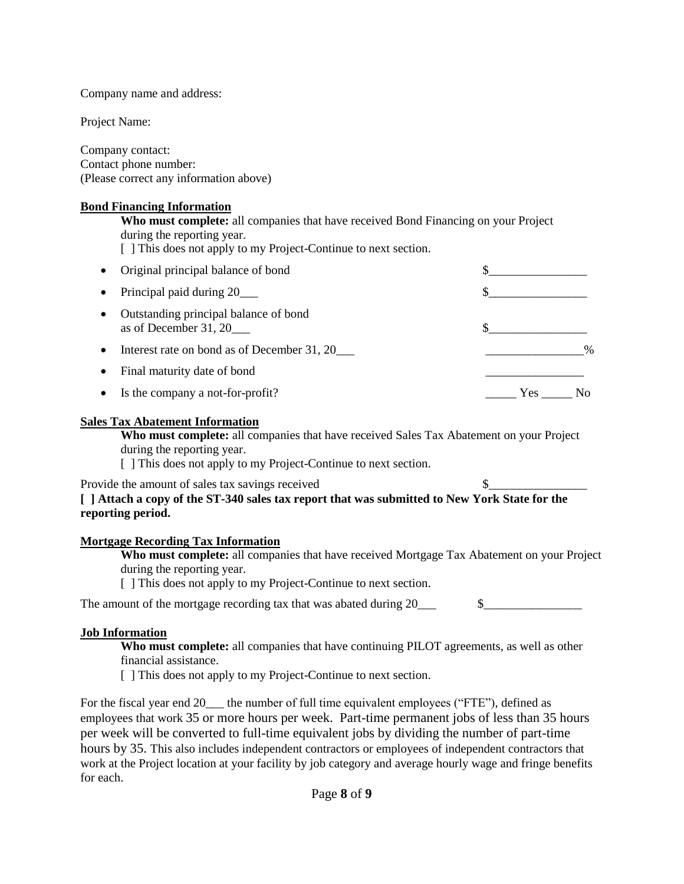Company name and address:

Project Name:

Company contact: Contact phone number: (Please correct any information above)

#### **Bond Financing Information**

**Who must complete:** all companies that have received Bond Financing on your Project during the reporting year. [ ] This does not apply to my Project-Continue to next section.

| Original principal balance of bond                             |               |
|----------------------------------------------------------------|---------------|
| Principal paid during 20                                       |               |
| Outstanding principal balance of bond<br>as of December 31, 20 |               |
| Interest rate on bond as of December 31, 20                    | $\frac{0}{0}$ |
| Final maturity date of bond                                    |               |
| Is the company a not-for-profit?                               | <b>Yes</b>    |

#### **Sales Tax Abatement Information**

**Who must complete:** all companies that have received Sales Tax Abatement on your Project during the reporting year.

[ ] This does not apply to my Project-Continue to next section.

Provide the amount of sales tax savings received  $\$\_$ 

# **[ ] Attach a copy of the ST-340 sales tax report that was submitted to New York State for the reporting period.**

## **Mortgage Recording Tax Information**

**Who must complete:** all companies that have received Mortgage Tax Abatement on your Project during the reporting year.

[ ] This does not apply to my Project-Continue to next section.

| The amount of the mortgage recording tax that was abated during 20 |
|--------------------------------------------------------------------|
|--------------------------------------------------------------------|

## **Job Information**

**Who must complete:** all companies that have continuing PILOT agreements, as well as other financial assistance.

[ ] This does not apply to my Project-Continue to next section.

For the fiscal year end 20\_\_\_ the number of full time equivalent employees ("FTE"), defined as employees that work 35 or more hours per week. Part-time permanent jobs of less than 35 hours per week will be converted to full-time equivalent jobs by dividing the number of part-time hours by 35. This also includes independent contractors or employees of independent contractors that work at the Project location at your facility by job category and average hourly wage and fringe benefits for each.